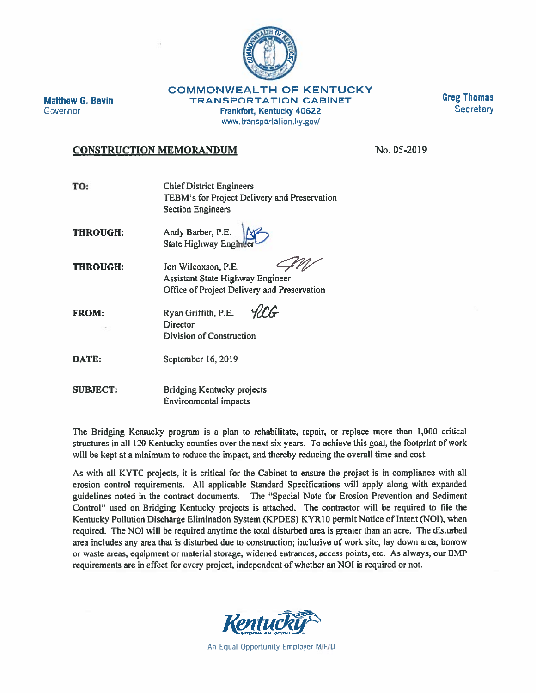

**Matthew G. Bevin** Governor

**COMMONWEALTH OF KENTUCKY TRANSPORTATION CABINET Frankfort, Kentucky 40622** www.transportation.ky.gov/

**Greg Thomas Secretary** 

## **CONSTRUCTION MEMORANDUM**

No. 05-2019

| TO:                   | <b>Chief District Engineers</b><br>TEBM's for Project Delivery and Preservation<br><b>Section Engineers</b> |
|-----------------------|-------------------------------------------------------------------------------------------------------------|
| <b>FRIDAY A STATE</b> | $\mathbf{r}$ $\mathbf{r}$ $\mathbf{r}$ $\mathbf{r}$ $\mathbf{r}$ $\mathbf{r}$                               |

THROUGH! Andy Barber, P.E. **State Highway Enginee** 

**THROUGH:** Jon Wilcoxson, P.E. **Assistant State Highway Engineer** Office of Project Delivery and Preservation

*HIG* **FROM:** Ryan Griffith, P.E. **Director Division of Construction** 

DATE: September 16, 2019

**SUBJECT: Bridging Kentucky projects Environmental impacts** 

The Bridging Kentucky program is a plan to rehabilitate, repair, or replace more than 1,000 critical structures in all 120 Kentucky counties over the next six years. To achieve this goal, the footprint of work will be kept at a minimum to reduce the impact, and thereby reducing the overall time and cost.

As with all KYTC projects, it is critical for the Cabinet to ensure the project is in compliance with all erosion control requirements. All applicable Standard Specifications will apply along with expanded guidelines noted in the contract documents. The "Special Note for Erosion Prevention and Sediment Control" used on Bridging Kentucky projects is attached. The contractor will be required to file the Kentucky Pollution Discharge Elimination System (KPDES) KYR10 permit Notice of Intent (NOI), when required. The NOI will be required anytime the total disturbed area is greater than an acre. The disturbed area includes any area that is disturbed due to construction; inclusive of work site, lay down area, borrow or waste areas, equipment or material storage, widened entrances, access points, etc. As always, our BMP requirements are in effect for every project, independent of whether an NOI is required or not.



An Equal Opportunity Employer M/F/D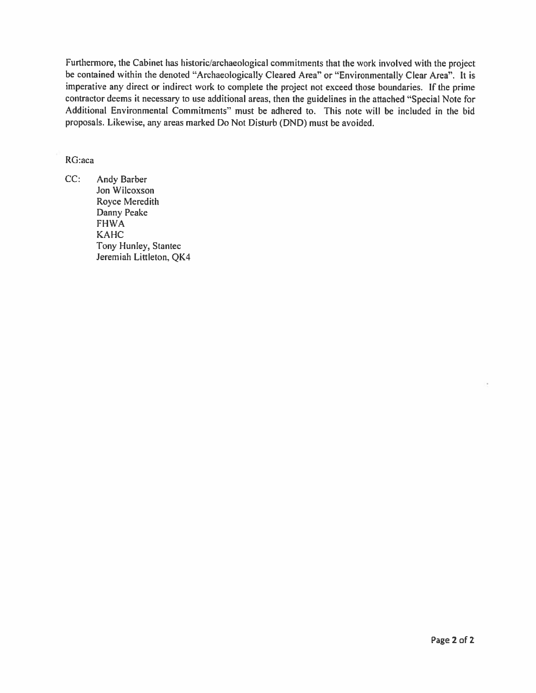Furthermore, the Cabinet has historic/archaeological commitments that the work involved with the project be contained within the denoted "Archaeologically Cleared Area" or "Environmentally Clear Area". It is imperative any direct or indirect work to complete the project not exceed those boundaries. If the prime contractor deems it necessary to use additional areas, then the guidelines in the attached "Special Note for Additional Environmental Commitments" must be adhered to. This note will be included in the bid proposals. Likewise, any areas marked Do Not Disturb (DND) must be avoided.

## RG:aca

 $CC:$ Andy Barber Jon Wilcoxson Royce Meredith Danny Peake **FHWA KAHC** Tony Hunley, Stantec Jeremiah Littleton, QK4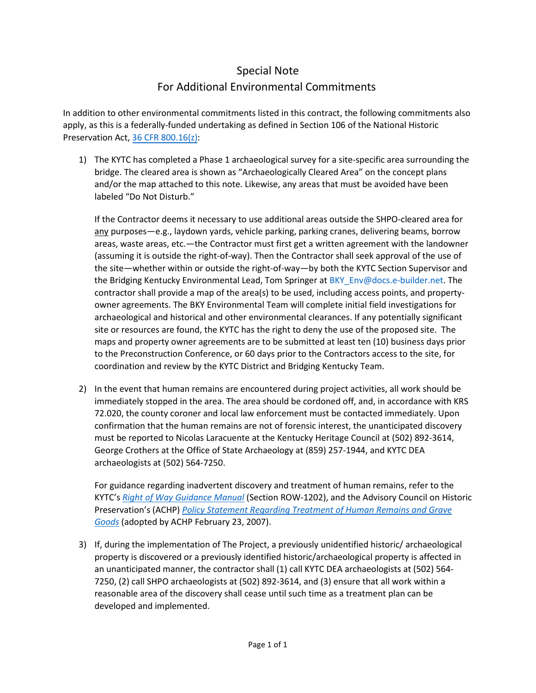## Special Note For Additional Environmental Commitments

In addition to other environmental commitments listed in this contract, the following commitments also apply, as this is a federally-funded undertaking as defined in Section 106 of the National Historic Preservation Act, 36 [CFR 800.16\(z\):](https://www.law.cornell.edu/cfr/text/36/800.16)

1) The KYTC has completed a Phase 1 archaeological survey for a site-specific area surrounding the bridge. The cleared area is shown as "Archaeologically Cleared Area" on the concept plans and/or the map attached to this note. Likewise, any areas that must be avoided have been labeled "Do Not Disturb."

If the Contractor deems it necessary to use additional areas outside the SHPO-cleared area for any purposes—e.g., laydown yards, vehicle parking, parking cranes, delivering beams, borrow areas, waste areas, etc.—the Contractor must first get a written agreement with the landowner (assuming it is outside the right-of-way). Then the Contractor shall seek approval of the use of the site—whether within or outside the right-of-way—by both the KYTC Section Supervisor and the Bridging Kentucky Environmental Lead, Tom Springer at [BKY\\_Env@docs.e-builder.net.](mailto:BKY_Env@docs.e-builder.net) The contractor shall provide a map of the area(s) to be used, including access points, and propertyowner agreements. The BKY Environmental Team will complete initial field investigations for archaeological and historical and other environmental clearances. If any potentially significant site or resources are found, the KYTC has the right to deny the use of the proposed site. The maps and property owner agreements are to be submitted at least ten (10) business days prior to the Preconstruction Conference, or 60 days prior to the Contractors access to the site, for coordination and review by the KYTC District and Bridging Kentucky Team.

2) In the event that human remains are encountered during project activities, all work should be immediately stopped in the area. The area should be cordoned off, and, in accordance with KRS 72.020, the county coroner and local law enforcement must be contacted immediately. Upon confirmation that the human remains are not of forensic interest, the unanticipated discovery must be reported to Nicolas Laracuente at the Kentucky Heritage Council at (502) 892-3614, George Crothers at the Office of State Archaeology at (859) 257-1944, and KYTC DEA archaeologists at (502) 564-7250.

For guidance regarding inadvertent discovery and treatment of human remains, refer to the KYTC's *[Right of Way Guidance Manual](https://transportation.ky.gov/Organizational-Resources/Policy%20Manuals%20Library/RightOfWay.pdf)* (Section ROW-1202), and the Advisory Council on Historic Preservation's (ACHP) *[Policy Statement Regarding Treatment of Human Remains and Grave](https://www.achp.gov/sites/default/files/policies/2018-06/ACHPPolicyStatementRegardingTreatmentofBurialSitesHumanRemainsandFuneraryObjects0207.pdf) [Goods](https://www.achp.gov/sites/default/files/policies/2018-06/ACHPPolicyStatementRegardingTreatmentofBurialSitesHumanRemainsandFuneraryObjects0207.pdf)* (adopted by ACHP February 23, 2007).

3) If, during the implementation of The Project, a previously unidentified historic/ archaeological property is discovered or a previously identified historic/archaeological property is affected in an unanticipated manner, the contractor shall (1) call KYTC DEA archaeologists at (502) 564- 7250, (2) call SHPO archaeologists at (502) 892-3614, and (3) ensure that all work within a reasonable area of the discovery shall cease until such time as a treatment plan can be developed and implemented.